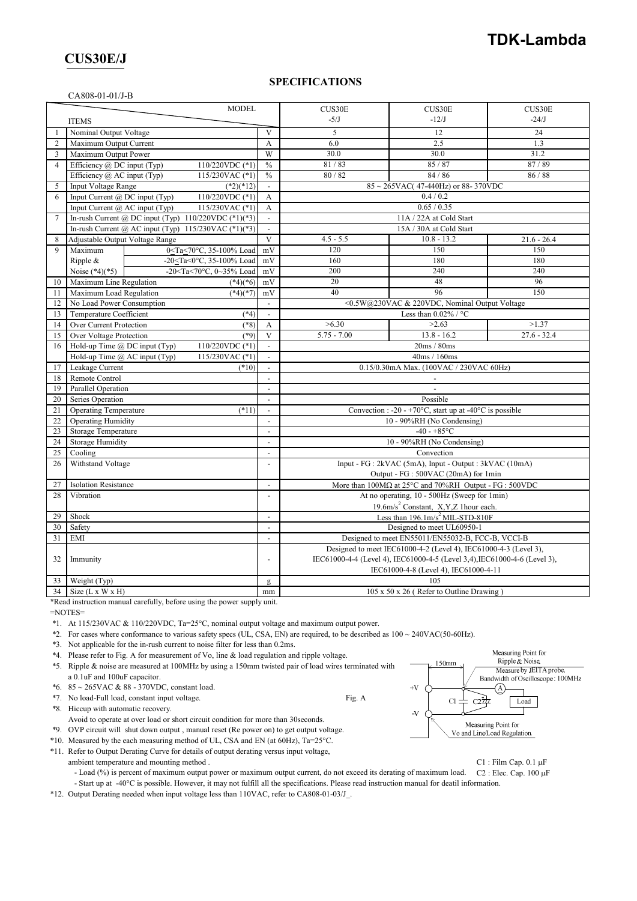## **CUS30E/J**

#### **SPECIFICATIONS**

#### CA808-01-01/J-B

| <b>MODEL</b>   |                                                                                                                      |                                                                | CUS30E                                                                                                                                                                                 | CUS30E                                   | CUS30E        |  |
|----------------|----------------------------------------------------------------------------------------------------------------------|----------------------------------------------------------------|----------------------------------------------------------------------------------------------------------------------------------------------------------------------------------------|------------------------------------------|---------------|--|
|                | <b>ITEMS</b>                                                                                                         |                                                                | $-5/J$                                                                                                                                                                                 | $-12/J$                                  | $-24/J$       |  |
|                | Nominal Output Voltage                                                                                               | V                                                              | 5                                                                                                                                                                                      | 12                                       | 24            |  |
| $\overline{2}$ | Maximum Output Current                                                                                               | $\overline{A}$<br>W                                            | 6.0                                                                                                                                                                                    | 2.5                                      | 1.3           |  |
| 3              | Maximum Output Power                                                                                                 |                                                                | 30.0                                                                                                                                                                                   | 30.0                                     | 31.2          |  |
| $\overline{4}$ | Efficiency $\omega$ DC input (Typ)<br>110/220VDC (*1)                                                                | $\frac{0}{0}$                                                  | 81/83                                                                                                                                                                                  | 85/87                                    | 87/89         |  |
|                | Efficiency @ AC input (Typ)<br>115/230VAC (*1)                                                                       | $\frac{0}{0}$                                                  | 80/82                                                                                                                                                                                  | 84 / 86                                  | 86 / 88       |  |
| 5              | <b>Input Voltage Range</b><br>$(*2)(*12)$                                                                            |                                                                |                                                                                                                                                                                        | $85 \sim 265$ VAC(47-440Hz) or 88-370VDC |               |  |
| 6              | Input Current @ DC input (Typ)<br>110/220VDC (*1)                                                                    | A                                                              | 0.4 / 0.2                                                                                                                                                                              |                                          |               |  |
|                | Input Current @ AC input (Typ)<br>115/230VAC (*1)                                                                    | A                                                              | 0.65 / 0.35                                                                                                                                                                            |                                          |               |  |
| 7              | In-rush Current @ DC input (Typ) $110/220$ VDC (*1)(*3)                                                              |                                                                | 11A / 22A at Cold Start                                                                                                                                                                |                                          |               |  |
|                | In-rush Current @ AC input (Typ) $115/230$ VAC (*1)(*3)                                                              | $\overline{a}$                                                 | 15A / 30A at Cold Start                                                                                                                                                                |                                          |               |  |
| 8              | Adjustable Output Voltage Range                                                                                      | V                                                              | $4.5 - 5.5$                                                                                                                                                                            | $10.8 - 13.2$                            | $21.6 - 26.4$ |  |
| 9              | Maximum<br>0 <ta<70°c, 35-100%="" load<="" td=""><td>mV</td><td>120</td><td>150</td><td>150</td></ta<70°c,>          | mV                                                             | 120                                                                                                                                                                                    | 150                                      | 150           |  |
|                | -20 <ta<0°c, 35-100%="" load<br="">Ripple &amp;</ta<0°c,>                                                            | mV                                                             | 160                                                                                                                                                                                    | 180                                      | 180           |  |
|                | Noise $(*4)(*5)$<br>-20 <ta<70°c, 0~35%="" load<="" td=""><td>mV</td><td>200</td><td>240</td><td>240</td></ta<70°c,> | mV                                                             | 200                                                                                                                                                                                    | 240                                      | 240           |  |
| 10             | Maximum Line Regulation<br>$(*4)(*6)$                                                                                | mV                                                             | 20                                                                                                                                                                                     | 48                                       | 96            |  |
| 11             | Maximum Load Regulation<br>$(*4)(*7)$                                                                                | mV                                                             | 40                                                                                                                                                                                     | 96                                       | 150           |  |
| 12             | No Load Power Consumption                                                                                            | $\overline{\phantom{a}}$                                       | <0.5W@230VAC & 220VDC, Nominal Output Voltage                                                                                                                                          |                                          |               |  |
| 13             | Temperature Coefficient<br>$(*4)$                                                                                    | $\overline{\phantom{a}}$                                       |                                                                                                                                                                                        | Less than $0.02\%$ / °C                  |               |  |
| 14             | Over Current Protection<br>$(*8)$                                                                                    | A                                                              | >6.30                                                                                                                                                                                  | >2.63                                    | >1.37         |  |
| 15             | Over Voltage Protection<br>$(*9)$                                                                                    | V                                                              | $5.75 - 7.00$                                                                                                                                                                          | $13.8 - 16.2$                            | $27.6 - 32.4$ |  |
| 16             | 110/220VDC (*1)<br>Hold-up Time $\omega$ DC input (Typ)                                                              |                                                                | 20ms / 80ms                                                                                                                                                                            |                                          |               |  |
|                | Hold-up Time @ AC input (Typ)<br>115/230VAC (*1)                                                                     | $\blacksquare$                                                 | 40ms / 160ms                                                                                                                                                                           |                                          |               |  |
| 17             | Leakage Current<br>$(*10)$<br>Remote Control                                                                         | $\overline{a}$<br>$\overline{a}$                               | 0.15/0.30mA Max. (100VAC / 230VAC 60Hz)                                                                                                                                                |                                          |               |  |
| 18<br>19       | Parallel Operation                                                                                                   | $\overline{a}$                                                 |                                                                                                                                                                                        |                                          |               |  |
| 20             | Series Operation                                                                                                     | $\overline{a}$                                                 |                                                                                                                                                                                        |                                          |               |  |
| 21             | <b>Operating Temperature</b><br>$(*11)$                                                                              | $\blacksquare$                                                 | Possible<br>Convection : -20 - +70 $\degree$ C, start up at -40 $\degree$ C is possible                                                                                                |                                          |               |  |
| 22             | <b>Operating Humidity</b>                                                                                            | $\overline{\phantom{a}}$                                       | 10 - 90%RH (No Condensing)                                                                                                                                                             |                                          |               |  |
| 23             | Storage Temperature                                                                                                  | $\overline{a}$                                                 | $-40 - +85$ °C                                                                                                                                                                         |                                          |               |  |
| 24             | <b>Storage Humidity</b>                                                                                              | $\overline{\phantom{a}}$                                       | 10 - 90%RH (No Condensing)                                                                                                                                                             |                                          |               |  |
| 25             | Cooling                                                                                                              | $\blacksquare$                                                 | Convection                                                                                                                                                                             |                                          |               |  |
| 26             | Withstand Voltage                                                                                                    | $\overline{\phantom{a}}$                                       | Input - FG : 2kVAC (5mA), Input - Output : 3kVAC (10mA)                                                                                                                                |                                          |               |  |
|                |                                                                                                                      |                                                                | Output - FG : 500VAC (20mA) for 1min                                                                                                                                                   |                                          |               |  |
| 27             | <b>Isolation Resistance</b>                                                                                          |                                                                | More than $100M\Omega$ at $25^{\circ}$ C and $70\%$ RH Output - FG : 500VDC                                                                                                            |                                          |               |  |
| 28             | Vibration                                                                                                            | At no operating, 10 - 500Hz (Sweep for 1min)<br>$\overline{a}$ |                                                                                                                                                                                        |                                          |               |  |
|                |                                                                                                                      |                                                                | 19.6m/s <sup>2</sup> Constant, X,Y,Z 1hour each.                                                                                                                                       |                                          |               |  |
| 29             | Shock                                                                                                                | $\overline{a}$                                                 | Less than $196.1 \text{m/s}^2$ MIL-STD-810F                                                                                                                                            |                                          |               |  |
| 30             | Safety                                                                                                               | $\overline{a}$                                                 | Designed to meet UL60950-1                                                                                                                                                             |                                          |               |  |
| 31             | EMI                                                                                                                  |                                                                | Designed to meet EN55011/EN55032-B, FCC-B, VCCI-B                                                                                                                                      |                                          |               |  |
| 32             | Immunity                                                                                                             | $\overline{a}$                                                 | Designed to meet IEC61000-4-2 (Level 4), IEC61000-4-3 (Level 3),<br>IEC61000-4-4 (Level 4), IEC61000-4-5 (Level 3,4), IEC61000-4-6 (Level 3),<br>IEC61000-4-8 (Level 4), IEC61000-4-11 |                                          |               |  |
| 33             | Weight (Typ)                                                                                                         | $\mathbf{g}$                                                   | 105                                                                                                                                                                                    |                                          |               |  |
| 34             | Size $(L x W x H)$                                                                                                   | mm                                                             | $105 \times 50 \times 26$ (Refer to Outline Drawing)                                                                                                                                   |                                          |               |  |

\*Read instruction manual carefully, before using the power supply unit.

=NOTES=

\*1. At 115/230VAC & 110/220VDC, Ta=25°C, nominal output voltage and maximum output power.

\*2. For cases where conformance to various safety specs (UL, CSA, EN) are required, to be described as 100 ~ 240VAC(50-60Hz).

\*3. Not applicable for the in-rush current to noise filter for less than 0.2ms.

\*4. Please refer to Fig. A for measurement of Vo, line & load regulation and ripple voltage.

\*5. Ripple & noise are measured at 100MHz by using a 150mm twisted pair of load wires terminated with a 0.1uF and 100uF capacitor.

\*6. 85 ~ 265VAC & 88 - 370VDC, constant load.

\*7. No load-Full load, constant input voltage. Fig. A

\*8. Hiccup with automatic recovery.

Avoid to operate at over load or short circuit condition for more than 30seconds.

\*9. OVP circuit will shut down output , manual reset (Re power on) to get output voltage.

\*10. Measured by the each measuring method of UL, CSA and EN (at 60Hz), Ta=25°C.

\*11. Refer to Output Derating Curve for details of output derating versus input voltage,

ambient temperature and mounting method . C1 : Film Cap. 0.1  $\mu$ F

- Load (%) is percent of maximum output power or maximum output current, do not exceed its derating of maximum load. C2 : Elec. Cap. 100 µF

- Start up at -40°C is possible. However, it may not fulfill all the specifications. Please read instruction manual for deatil information.

\*12. Output Derating needed when input voltage less than 110VAC, refer to CA808-01-03/J\_.

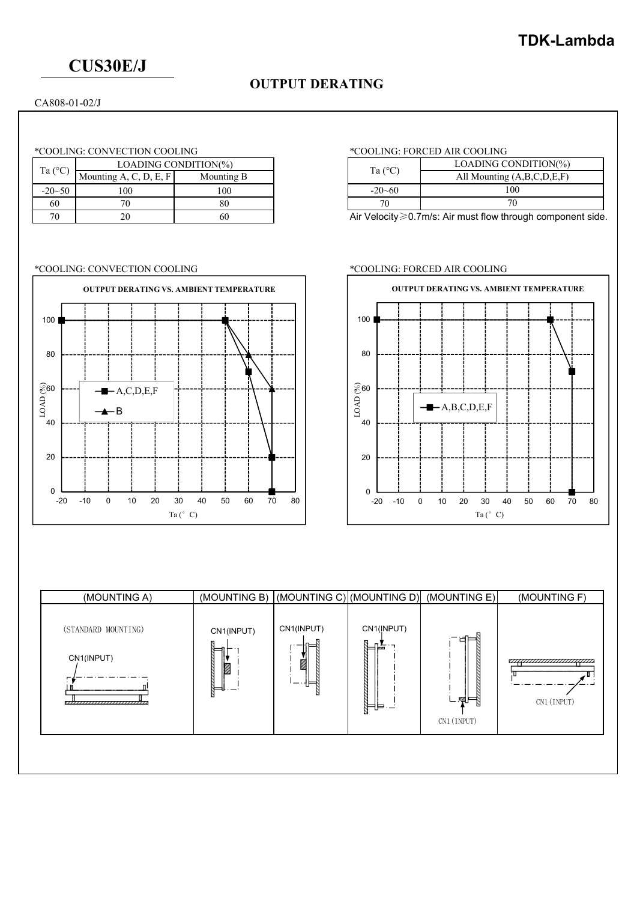# **CUS30E/J**

## **OUTPUT DERATING**

CA808-01-02/J

### \*COOLING: CONVECTION COOLING \*COOLING: FORCED AIR COOLING

| Ta $(^{\circ}C)$ | LOADING CONDITION(%)   | Ta $(^{\circ}C)$ |              |
|------------------|------------------------|------------------|--------------|
|                  | Mounting A, C, D, E, F | Mounting B       |              |
| $-20 - 50$       | 100                    | 00 <sub>1</sub>  | $-20 - 60$   |
| 60               |                        |                  |              |
| 70               |                        |                  | Air Velocity |

### \*COOLING: CONVECTION COOLING \*COOLING: FORCED AIR COOLING



| Ta $(^{\circ}C)$ | LOADING CONDITION(%)       |
|------------------|----------------------------|
|                  | All Mounting (A,B,C,D,E,F) |
| $-20 - 60$       | 100                        |
|                  |                            |

Air Velocity≥0.7m/s: Air must flow through component side.